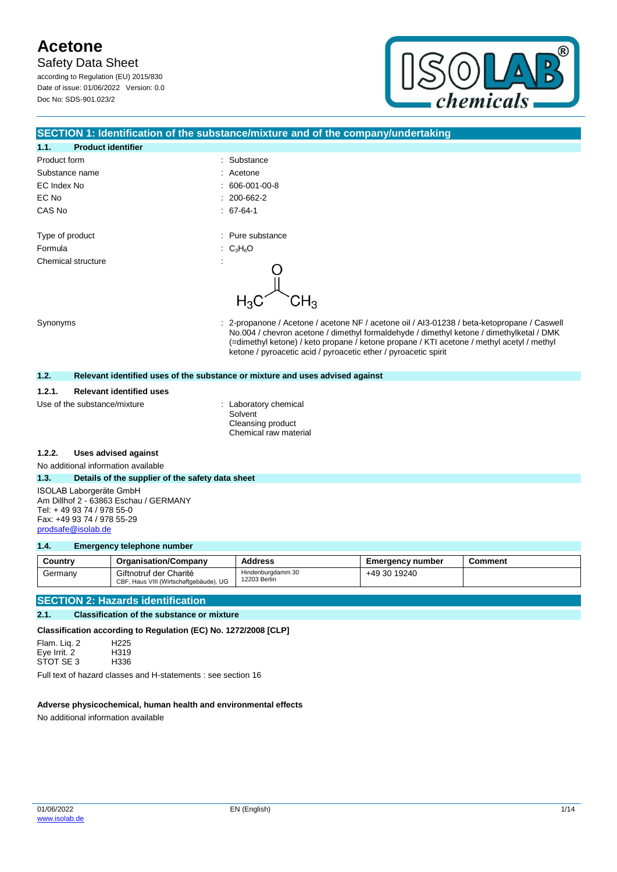**Safety Data Sheet** 

according to Regulation (EU) 2015/830 Date of issue: 01/06/2022 Version: 0.0 Doc No: SDS-901.023/2



#### **SECTION 1: Identification of the substance/mixture and of the company/undertaking**

| 1.1.         | <b>Product identifier</b> |                          |
|--------------|---------------------------|--------------------------|
| Product form |                           | Substance<br>÷.          |
|              | Substance name            | : Acetone                |
| EC Index No  |                           | 606-001-00-8             |
| EC No        |                           | $: 200 - 662 - 2$        |
| CAS No       |                           | : 67-64-1                |
|              |                           |                          |
|              | Type of product           | : Pure substance         |
| Formula      |                           | : $C_3H_6O$              |
|              | Chemical structure        | $\overline{\phantom{a}}$ |
|              |                           |                          |
|              |                           |                          |

Synonyms **Synonyms** : 2-propanone / Acetone / acetone NF / acetone oil / AI3-01238 / beta-ketopropane / Caswell No.004 / chevron acetone / dimethyl formaldehyde / dimethyl ketone / dimethylketal / DMK (=dimethyl ketone) / keto propane / ketone propane / KTI acetone / methyl acetyl / methyl ketone / pyroacetic acid / pyroacetic ether / pyroacetic spirit

#### **1.2. Relevant identified uses of the substance or mixture and uses advised against**

#### **1.2.1. Relevant identified uses**

Use of the substance/mixture : Laboratory chemical

Solvent Cleansing product Chemical raw material

#### **1.2.2. Uses advised against**

No additional information available

#### **1.3. Details of the supplier of the safety data sheet**

ISOLAB Laborgeräte GmbH Am Dillhof 2 - 63863 Eschau / GERMANY Tel: + 49 93 74 / 978 55-0 Fax: +49 93 74 / 978 55-29 [prodsafe@isolab.de](mailto:prodsafe@isolab.de)

#### **1.4. Emergency telephone number**

| Country | <b>Organisation/Company</b>                                      | <b>Address</b>                    | <b>Emergency number</b> | <b>Comment</b> |
|---------|------------------------------------------------------------------|-----------------------------------|-------------------------|----------------|
| Germany | Giftnotruf der Charité<br>CBF, Haus VIII (Wirtschaftgebäude), UG | Hindenburgdamm 30<br>12203 Berlin | +49 30 19240            |                |

#### **SECTION 2: Hazards identification**

#### **2.1. Classification of the substance or mixture**

**Classification according to Regulation (EC) No. 1272/2008 [CLP]**

Flam. Liq. 2 H225 Eye Irrit. 2 H319<br>STOT SE 3 H336 STOT SE 3

Full text of hazard classes and H-statements : see section 16

#### **Adverse physicochemical, human health and environmental effects**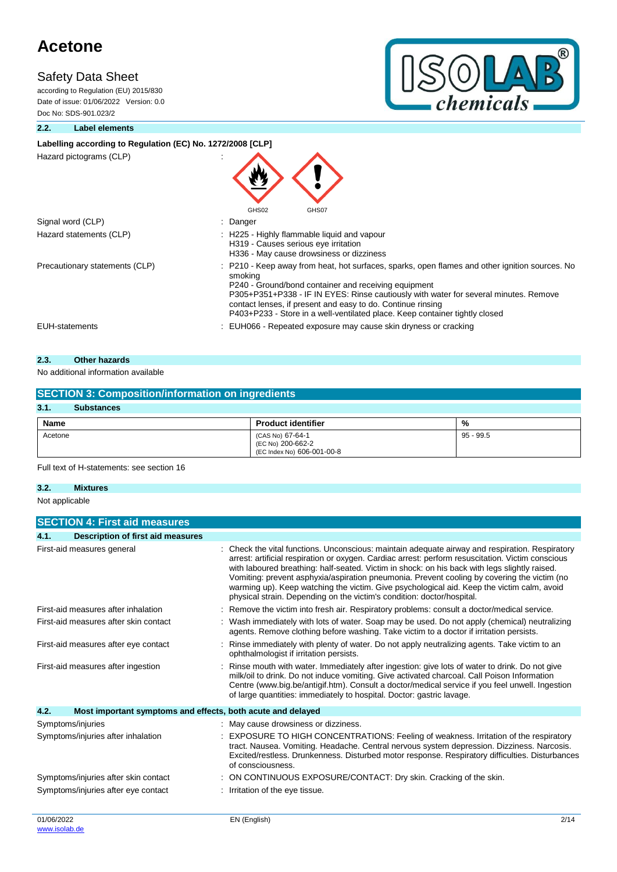## **Safety Data Sheet**

according to Regulation (EU) 2015/830 Date of issue: 01/06/2022 Version: 0.0 Doc No: SDS-901.023/2



#### **2.2. Label elements**

### Labelling according to Regulation (EC) No. 1272/2008 [CLP]

Hazard pictograms (CLP) :

| Hazard pictograms (CLP)        | GHS02<br>GHS07                                                                                                                                                                                                                                                                                                                                                                                          |
|--------------------------------|---------------------------------------------------------------------------------------------------------------------------------------------------------------------------------------------------------------------------------------------------------------------------------------------------------------------------------------------------------------------------------------------------------|
| Signal word (CLP)              | : Danger                                                                                                                                                                                                                                                                                                                                                                                                |
| Hazard statements (CLP)        | : H225 - Highly flammable liquid and vapour<br>H319 - Causes serious eye irritation<br>H336 - May cause drowsiness or dizziness                                                                                                                                                                                                                                                                         |
| Precautionary statements (CLP) | : P210 - Keep away from heat, hot surfaces, sparks, open flames and other ignition sources. No<br>smoking<br>P240 - Ground/bond container and receiving equipment<br>P305+P351+P338 - IF IN EYES: Rinse cautiously with water for several minutes. Remove<br>contact lenses, if present and easy to do. Continue rinsing<br>P403+P233 - Store in a well-ventilated place. Keep container tightly closed |
| <b>EUH-statements</b>          | : EUH066 - Repeated exposure may cause skin dryness or cracking                                                                                                                                                                                                                                                                                                                                         |
|                                |                                                                                                                                                                                                                                                                                                                                                                                                         |

### **2.3. Other hazards**

### No additional information available

| <b>SECTION 3: Composition/information on ingredients</b> |                                                                     |             |  |  |
|----------------------------------------------------------|---------------------------------------------------------------------|-------------|--|--|
| 3.1.<br><b>Substances</b>                                |                                                                     |             |  |  |
| Name                                                     | <b>Product identifier</b>                                           | %           |  |  |
| Acetone                                                  | (CAS No) 67-64-1<br>(EC No) 200-662-2<br>(EC Index No) 606-001-00-8 | $95 - 99.5$ |  |  |

Full text of H-statements: see section 16

#### **3.2. Mixtures**

Not applicable

|                                       | <b>SECTION 4: First aid measures</b>                        |                                                                                                                                                                                                                                                                                                                                                                                                                                                                                                                                                                            |  |
|---------------------------------------|-------------------------------------------------------------|----------------------------------------------------------------------------------------------------------------------------------------------------------------------------------------------------------------------------------------------------------------------------------------------------------------------------------------------------------------------------------------------------------------------------------------------------------------------------------------------------------------------------------------------------------------------------|--|
| 4.1.                                  | <b>Description of first aid measures</b>                    |                                                                                                                                                                                                                                                                                                                                                                                                                                                                                                                                                                            |  |
|                                       | First-aid measures general                                  | Check the vital functions. Unconscious: maintain adequate airway and respiration. Respiratory<br>arrest: artificial respiration or oxygen. Cardiac arrest: perform resuscitation. Victim conscious<br>with laboured breathing: half-seated. Victim in shock: on his back with legs slightly raised.<br>Vomiting: prevent asphyxia/aspiration pneumonia. Prevent cooling by covering the victim (no<br>warming up). Keep watching the victim. Give psychological aid. Keep the victim calm, avoid<br>physical strain. Depending on the victim's condition: doctor/hospital. |  |
|                                       | First-aid measures after inhalation                         | Remove the victim into fresh air. Respiratory problems: consult a doctor/medical service.                                                                                                                                                                                                                                                                                                                                                                                                                                                                                  |  |
| First-aid measures after skin contact |                                                             | Wash immediately with lots of water. Soap may be used. Do not apply (chemical) neutralizing<br>agents. Remove clothing before washing. Take victim to a doctor if irritation persists.                                                                                                                                                                                                                                                                                                                                                                                     |  |
|                                       | First-aid measures after eye contact                        | Rinse immediately with plenty of water. Do not apply neutralizing agents. Take victim to an<br>ophthalmologist if irritation persists.                                                                                                                                                                                                                                                                                                                                                                                                                                     |  |
|                                       | First-aid measures after ingestion                          | Rinse mouth with water. Immediately after ingestion: give lots of water to drink. Do not give<br>milk/oil to drink. Do not induce vomiting. Give activated charcoal. Call Poison Information<br>Centre (www.big.be/antigif.htm). Consult a doctor/medical service if you feel unwell. Ingestion<br>of large quantities: immediately to hospital. Doctor: gastric lavage.                                                                                                                                                                                                   |  |
| 4.2.                                  | Most important symptoms and effects, both acute and delayed |                                                                                                                                                                                                                                                                                                                                                                                                                                                                                                                                                                            |  |
|                                       | Symptoms/injuries                                           | May cause drowsiness or dizziness.                                                                                                                                                                                                                                                                                                                                                                                                                                                                                                                                         |  |
|                                       | Symptoms/injuries after inhalation                          | EXPOSURE TO HIGH CONCENTRATIONS: Feeling of weakness. Irritation of the respiratory<br>tract. Nausea. Vomiting. Headache. Central nervous system depression. Dizziness. Narcosis.<br>Excited/restless. Drunkenness. Disturbed motor response. Respiratory difficulties. Disturbances<br>of consciousness.                                                                                                                                                                                                                                                                  |  |
|                                       | Symptoms/injuries after skin contact                        | ON CONTINUOUS EXPOSURE/CONTACT: Dry skin. Cracking of the skin.                                                                                                                                                                                                                                                                                                                                                                                                                                                                                                            |  |
|                                       | Symptoms/injuries after eye contact                         | Irritation of the eye tissue.                                                                                                                                                                                                                                                                                                                                                                                                                                                                                                                                              |  |
| 01/06/2022                            |                                                             | 2/14<br>EN (English)                                                                                                                                                                                                                                                                                                                                                                                                                                                                                                                                                       |  |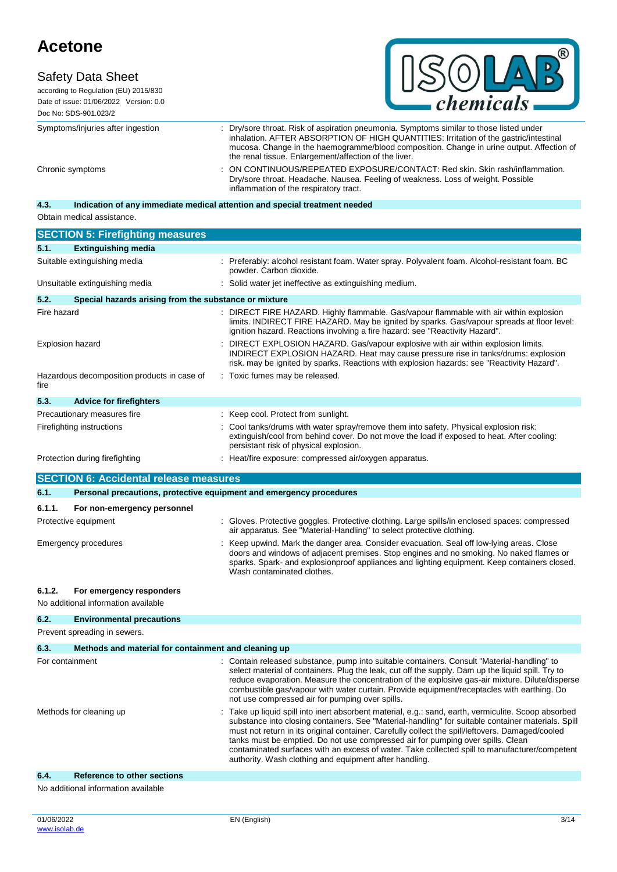### **Safety Data Sheet**



according to Regulation (EU) 2015/830 Date of issue: 01/06/2022 Version: 0.0 Doc No: SDS-901.023/2

Symptoms/injuries after ingestion : Dry/sore throat. Risk of aspiration pneumonia. Symptoms similar to those listed under inhalation. AFTER ABSORPTION OF HIGH QUANTITIES: Irritation of the gastric/intestinal mucosa. Change in the haemogramme/blood composition. Change in urine output. Affection of the renal tissue. Enlargement/affection of the liver. Chronic symptoms : ON CONTINUOUS/REPEATED EXPOSURE/CONTACT: Red skin. Skin rash/inflammation. Dry/sore throat. Headache. Nausea. Feeling of weakness. Loss of weight. Possible inflammation of the respiratory tract.

### **4.3. Indication of any immediate medical attention and special treatment needed**

Obtain medical assistance.

|                                | <b>SECTION 5: Firefighting measures</b>                             |                                                                                                                                                                                                                                                                                                                                                                                                                                                                                                                                                            |
|--------------------------------|---------------------------------------------------------------------|------------------------------------------------------------------------------------------------------------------------------------------------------------------------------------------------------------------------------------------------------------------------------------------------------------------------------------------------------------------------------------------------------------------------------------------------------------------------------------------------------------------------------------------------------------|
| 5.1.                           | <b>Extinguishing media</b>                                          |                                                                                                                                                                                                                                                                                                                                                                                                                                                                                                                                                            |
| Suitable extinguishing media   |                                                                     | : Preferably: alcohol resistant foam. Water spray. Polyvalent foam. Alcohol-resistant foam. BC<br>powder. Carbon dioxide.                                                                                                                                                                                                                                                                                                                                                                                                                                  |
| Unsuitable extinguishing media |                                                                     | Solid water jet ineffective as extinguishing medium.                                                                                                                                                                                                                                                                                                                                                                                                                                                                                                       |
| 5.2.                           | Special hazards arising from the substance or mixture               |                                                                                                                                                                                                                                                                                                                                                                                                                                                                                                                                                            |
| Fire hazard                    |                                                                     | : DIRECT FIRE HAZARD. Highly flammable. Gas/vapour flammable with air within explosion<br>limits. INDIRECT FIRE HAZARD. May be ignited by sparks. Gas/vapour spreads at floor level:<br>ignition hazard. Reactions involving a fire hazard: see "Reactivity Hazard".                                                                                                                                                                                                                                                                                       |
| <b>Explosion hazard</b>        |                                                                     | DIRECT EXPLOSION HAZARD. Gas/vapour explosive with air within explosion limits.<br>INDIRECT EXPLOSION HAZARD. Heat may cause pressure rise in tanks/drums: explosion<br>risk. may be ignited by sparks. Reactions with explosion hazards: see "Reactivity Hazard".                                                                                                                                                                                                                                                                                         |
| fire                           | Hazardous decomposition products in case of                         | Toxic fumes may be released.                                                                                                                                                                                                                                                                                                                                                                                                                                                                                                                               |
| 5.3.                           | <b>Advice for firefighters</b>                                      |                                                                                                                                                                                                                                                                                                                                                                                                                                                                                                                                                            |
|                                | Precautionary measures fire                                         | : Keep cool. Protect from sunlight.                                                                                                                                                                                                                                                                                                                                                                                                                                                                                                                        |
|                                | Firefighting instructions                                           | Cool tanks/drums with water spray/remove them into safety. Physical explosion risk:<br>extinguish/cool from behind cover. Do not move the load if exposed to heat. After cooling:<br>persistant risk of physical explosion.                                                                                                                                                                                                                                                                                                                                |
|                                | Protection during firefighting                                      | : Heat/fire exposure: compressed air/oxygen apparatus.                                                                                                                                                                                                                                                                                                                                                                                                                                                                                                     |
|                                | <b>SECTION 6: Accidental release measures</b>                       |                                                                                                                                                                                                                                                                                                                                                                                                                                                                                                                                                            |
| 6.1.                           | Personal precautions, protective equipment and emergency procedures |                                                                                                                                                                                                                                                                                                                                                                                                                                                                                                                                                            |
|                                |                                                                     |                                                                                                                                                                                                                                                                                                                                                                                                                                                                                                                                                            |
| 6.1.1.                         | For non-emergency personnel                                         |                                                                                                                                                                                                                                                                                                                                                                                                                                                                                                                                                            |
|                                | Protective equipment                                                | : Gloves. Protective goggles. Protective clothing. Large spills/in enclosed spaces: compressed<br>air apparatus. See "Material-Handling" to select protective clothing.                                                                                                                                                                                                                                                                                                                                                                                    |
|                                | Emergency procedures                                                | Keep upwind. Mark the danger area. Consider evacuation. Seal off low-lying areas. Close<br>doors and windows of adjacent premises. Stop engines and no smoking. No naked flames or<br>sparks. Spark- and explosionproof appliances and lighting equipment. Keep containers closed.<br>Wash contaminated clothes.                                                                                                                                                                                                                                           |
| 6.1.2.                         | For emergency responders                                            |                                                                                                                                                                                                                                                                                                                                                                                                                                                                                                                                                            |
|                                | No additional information available                                 |                                                                                                                                                                                                                                                                                                                                                                                                                                                                                                                                                            |
| 6.2.                           | <b>Environmental precautions</b>                                    |                                                                                                                                                                                                                                                                                                                                                                                                                                                                                                                                                            |
|                                | Prevent spreading in sewers.                                        |                                                                                                                                                                                                                                                                                                                                                                                                                                                                                                                                                            |
| 6.3.                           | Methods and material for containment and cleaning up                |                                                                                                                                                                                                                                                                                                                                                                                                                                                                                                                                                            |
| For containment                |                                                                     | : Contain released substance, pump into suitable containers. Consult "Material-handling" to<br>select material of containers. Plug the leak, cut off the supply. Dam up the liquid spill. Try to<br>reduce evaporation. Measure the concentration of the explosive gas-air mixture. Dilute/disperse<br>combustible gas/vapour with water curtain. Provide equipment/receptacles with earthing. Do<br>not use compressed air for pumping over spills.                                                                                                       |
| Methods for cleaning up        |                                                                     | Take up liquid spill into inert absorbent material, e.g.: sand, earth, vermiculite. Scoop absorbed<br>substance into closing containers. See "Material-handling" for suitable container materials. Spill<br>must not return in its original container. Carefully collect the spill/leftovers. Damaged/cooled<br>tanks must be emptied. Do not use compressed air for pumping over spills. Clean<br>contaminated surfaces with an excess of water. Take collected spill to manufacturer/competent<br>authority. Wash clothing and equipment after handling. |

#### **6.4. Reference to other sections**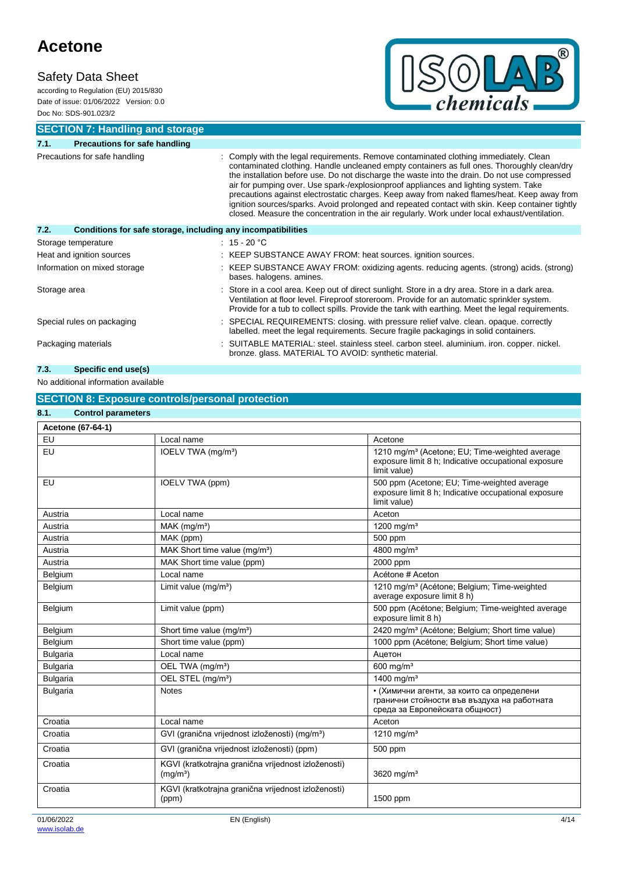## **Safety Data Sheet**

according to Regulation (EU) 2015/830 Date of issue: 01/06/2022 Version: 0.0 Doc No: SDS-901.023/2



**SECTION 7: Handling and storage**

| 7.1.                          | <b>Precautions for safe handling</b>                         |                                                                                                                                                                                                                                                                                                                                                                                                                                                                                                                                                                                                                                                                                  |  |
|-------------------------------|--------------------------------------------------------------|----------------------------------------------------------------------------------------------------------------------------------------------------------------------------------------------------------------------------------------------------------------------------------------------------------------------------------------------------------------------------------------------------------------------------------------------------------------------------------------------------------------------------------------------------------------------------------------------------------------------------------------------------------------------------------|--|
| Precautions for safe handling |                                                              | : Comply with the legal requirements. Remove contaminated clothing immediately. Clean<br>contaminated clothing. Handle uncleaned empty containers as full ones. Thoroughly clean/dry<br>the installation before use. Do not discharge the waste into the drain. Do not use compressed<br>air for pumping over. Use spark-/explosionproof appliances and lighting system. Take<br>precautions against electrostatic charges. Keep away from naked flames/heat. Keep away from<br>ignition sources/sparks. Avoid prolonged and repeated contact with skin. Keep container tightly<br>closed. Measure the concentration in the air regularly. Work under local exhaust/ventilation. |  |
| 7.2.                          | Conditions for safe storage, including any incompatibilities |                                                                                                                                                                                                                                                                                                                                                                                                                                                                                                                                                                                                                                                                                  |  |
|                               | Storage temperature                                          | $: 15 - 20 °C$                                                                                                                                                                                                                                                                                                                                                                                                                                                                                                                                                                                                                                                                   |  |
|                               | Heat and ignition sources                                    | : KEEP SUBSTANCE AWAY FROM: heat sources. ignition sources.                                                                                                                                                                                                                                                                                                                                                                                                                                                                                                                                                                                                                      |  |
| Information on mixed storage  |                                                              | : KEEP SUBSTANCE AWAY FROM: oxidizing agents. reducing agents. (strong) acids. (strong)<br>bases. halogens. amines.                                                                                                                                                                                                                                                                                                                                                                                                                                                                                                                                                              |  |
| Storage area                  |                                                              | : Store in a cool area. Keep out of direct sunlight. Store in a dry area. Store in a dark area.<br>Ventilation at floor level. Fireproof storeroom. Provide for an automatic sprinkler system.<br>Provide for a tub to collect spills. Provide the tank with earthing. Meet the legal requirements.                                                                                                                                                                                                                                                                                                                                                                              |  |
| Special rules on packaging    |                                                              | : SPECIAL REQUIREMENTS: closing. with pressure relief valve. clean. opaque. correctly<br>labelled. meet the legal requirements. Secure fragile packagings in solid containers.                                                                                                                                                                                                                                                                                                                                                                                                                                                                                                   |  |
|                               | Packaging materials                                          | SUITABLE MATERIAL: steel. stainless steel. carbon steel. aluminium. iron. copper. nickel.<br>bronze. glass. MATERIAL TO AVOID: synthetic material.                                                                                                                                                                                                                                                                                                                                                                                                                                                                                                                               |  |

### **7.3. Specific end use(s)**

No additional information available

### **SECTION 8: Exposure controls/personal protection**

| 8.1.<br><b>Control parameters</b> |                                                                             |                                                                                                                                    |
|-----------------------------------|-----------------------------------------------------------------------------|------------------------------------------------------------------------------------------------------------------------------------|
| Acetone (67-64-1)                 |                                                                             |                                                                                                                                    |
| EU                                | Local name                                                                  | Acetone                                                                                                                            |
| EU                                | IOELV TWA (mg/m <sup>3</sup> )                                              | 1210 mg/m <sup>3</sup> (Acetone: EU: Time-weighted average<br>exposure limit 8 h; Indicative occupational exposure<br>limit value) |
| EU                                | IOELV TWA (ppm)                                                             | 500 ppm (Acetone; EU; Time-weighted average<br>exposure limit 8 h; Indicative occupational exposure<br>limit value)                |
| Austria                           | Local name                                                                  | Aceton                                                                                                                             |
| Austria                           | $MAK$ (mg/m <sup>3</sup> )                                                  | 1200 mg/m <sup>3</sup>                                                                                                             |
| Austria                           | MAK (ppm)                                                                   | 500 ppm                                                                                                                            |
| Austria                           | MAK Short time value (mg/m <sup>3</sup> )                                   | 4800 mg/m <sup>3</sup>                                                                                                             |
| Austria                           | MAK Short time value (ppm)                                                  | 2000 ppm                                                                                                                           |
| Belgium                           | Local name                                                                  | Acétone # Aceton                                                                                                                   |
| Belgium                           | Limit value (mg/m <sup>3</sup> )                                            | 1210 mg/m <sup>3</sup> (Acétone; Belgium; Time-weighted<br>average exposure limit 8 h)                                             |
| Belgium                           | Limit value (ppm)                                                           | 500 ppm (Acétone; Belgium; Time-weighted average<br>exposure limit 8 h)                                                            |
| Belgium                           | Short time value (mg/m <sup>3</sup> )                                       | 2420 mg/m <sup>3</sup> (Acétone; Belgium; Short time value)                                                                        |
| Belgium                           | Short time value (ppm)                                                      | 1000 ppm (Acétone; Belgium; Short time value)                                                                                      |
| <b>Bulgaria</b>                   | Local name                                                                  | Ацетон                                                                                                                             |
| <b>Bulgaria</b>                   | OEL TWA (mg/m <sup>3</sup> )                                                | 600 mg/m <sup>3</sup>                                                                                                              |
| <b>Bulgaria</b>                   | OEL STEL (mg/m <sup>3</sup> )                                               | 1400 mg/m <sup>3</sup>                                                                                                             |
| <b>Bulgaria</b>                   | <b>Notes</b>                                                                | • (Химични агенти, за които са определени<br>гранични стойности във въздуха на работната<br>среда за Европейската общност)         |
| Croatia                           | Local name                                                                  | Aceton                                                                                                                             |
| Croatia                           | GVI (granična vrijednost izloženosti) (mg/m <sup>3</sup> )                  | 1210 mg/m <sup>3</sup>                                                                                                             |
| Croatia                           | GVI (granična vrijednost izloženosti) (ppm)                                 | 500 ppm                                                                                                                            |
| Croatia                           | KGVI (kratkotrajna granična vrijednost izloženosti)<br>(mg/m <sup>3</sup> ) | 3620 mg/ $m3$                                                                                                                      |
| Croatia                           | KGVI (kratkotrajna granična vrijednost izloženosti)<br>(ppm)                | 1500 ppm                                                                                                                           |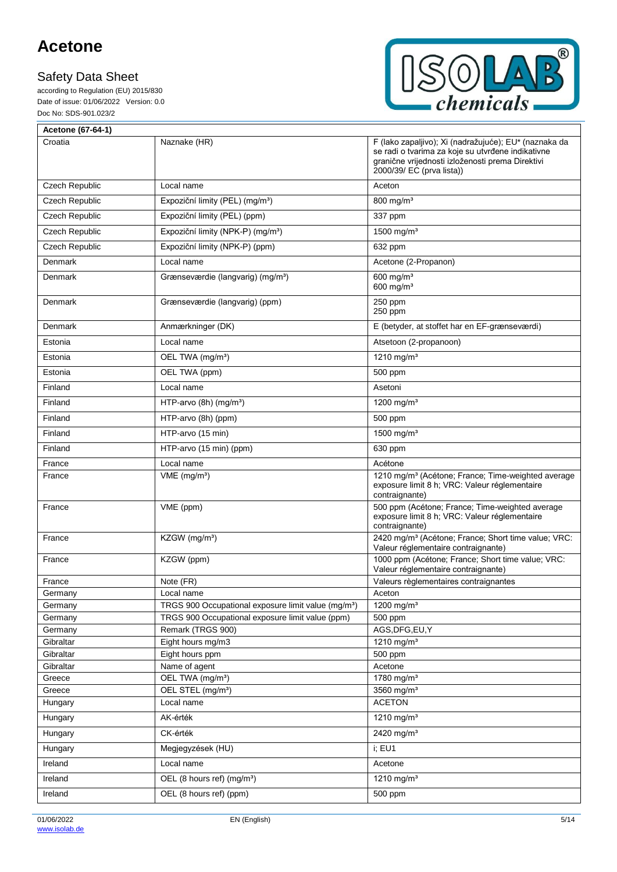according to Regulation (EU) 2015/830 Date of issue: 01/06/2022 Version: 0.0 Doc No: SDS-901.023/2



| Acetone (67-64-1)     |                                                                       |                                                                                                                                                                                             |
|-----------------------|-----------------------------------------------------------------------|---------------------------------------------------------------------------------------------------------------------------------------------------------------------------------------------|
| Croatia               | Naznake (HR)                                                          | F (lako zapaljivo); Xi (nadražujuće); EU* (naznaka da<br>se radi o tvarima za koje su utvrđene indikativne<br>granične vrijednosti izloženosti prema Direktivi<br>2000/39/ EC (prva lista)) |
| Czech Republic        | Local name                                                            | Aceton                                                                                                                                                                                      |
| <b>Czech Republic</b> | Expoziční limity (PEL) (mg/m <sup>3</sup> )                           | 800 mg/m <sup>3</sup>                                                                                                                                                                       |
| Czech Republic        | Expoziční limity (PEL) (ppm)                                          | 337 ppm                                                                                                                                                                                     |
| Czech Republic        | Expoziční limity (NPK-P) (mg/m <sup>3</sup> )                         | 1500 mg/m <sup>3</sup>                                                                                                                                                                      |
| <b>Czech Republic</b> | Expoziční limity (NPK-P) (ppm)                                        | 632 ppm                                                                                                                                                                                     |
| <b>Denmark</b>        | Local name                                                            | Acetone (2-Propanon)                                                                                                                                                                        |
| Denmark               | Grænseværdie (langvarig) (mg/m <sup>3</sup> )                         | 600 mg/ $m3$<br>600 mg/ $m3$                                                                                                                                                                |
| Denmark               | Grænseværdie (langvarig) (ppm)                                        | 250 ppm<br>250 ppm                                                                                                                                                                          |
| Denmark               | Anmærkninger (DK)                                                     | E (betyder, at stoffet har en EF-grænseværdi)                                                                                                                                               |
| Estonia               | Local name                                                            | Atsetoon (2-propanoon)                                                                                                                                                                      |
| Estonia               | OEL TWA (mg/m <sup>3</sup> )                                          | 1210 mg/m <sup>3</sup>                                                                                                                                                                      |
| Estonia               | OEL TWA (ppm)                                                         | 500 ppm                                                                                                                                                                                     |
| Finland               | Local name                                                            | Asetoni                                                                                                                                                                                     |
| Finland               | HTP-arvo $(8h)$ (mg/m <sup>3</sup> )                                  | 1200 mg/m <sup>3</sup>                                                                                                                                                                      |
| Finland               | HTP-arvo (8h) (ppm)                                                   | 500 ppm                                                                                                                                                                                     |
| Finland               | HTP-arvo (15 min)                                                     | 1500 mg/m <sup>3</sup>                                                                                                                                                                      |
| Finland               | HTP-arvo (15 min) (ppm)                                               | 630 ppm                                                                                                                                                                                     |
| France                | Local name                                                            | Acétone                                                                                                                                                                                     |
| France                | $VME$ (mg/m <sup>3</sup> )                                            | 1210 mg/m <sup>3</sup> (Acétone; France; Time-weighted average<br>exposure limit 8 h; VRC: Valeur réglementaire<br>contraignante)                                                           |
| France                | VME (ppm)                                                             | 500 ppm (Acétone; France; Time-weighted average<br>exposure limit 8 h; VRC: Valeur réglementaire<br>contraignante)                                                                          |
| France                | KZGW (mg/m <sup>3</sup> )                                             | 2420 mg/m <sup>3</sup> (Acétone; France; Short time value; VRC:<br>Valeur réglementaire contraignante)                                                                                      |
| France                | KZGW (ppm)                                                            | 1000 ppm (Acétone; France; Short time value; VRC:<br>Valeur réglementaire contraignante)                                                                                                    |
| France                | Note (FR)                                                             | Valeurs règlementaires contraignantes                                                                                                                                                       |
| Germany               | Local name                                                            | Aceton                                                                                                                                                                                      |
| Germany               | TRGS 900 Occupational exposure limit value (mg/m <sup>3</sup> )       | 1200 mg/m <sup>3</sup><br>500 ppm                                                                                                                                                           |
| Germany<br>Germany    | TRGS 900 Occupational exposure limit value (ppm)<br>Remark (TRGS 900) | AGS, DFG, EU, Y                                                                                                                                                                             |
| Gibraltar             | Eight hours mg/m3                                                     | 1210 mg/m <sup>3</sup>                                                                                                                                                                      |
| Gibraltar             | Eight hours ppm                                                       | 500 ppm                                                                                                                                                                                     |
| Gibraltar             | Name of agent                                                         | Acetone                                                                                                                                                                                     |
| Greece                | OEL TWA (mg/m <sup>3</sup> )                                          | 1780 mg/m $3$                                                                                                                                                                               |
| Greece                | OEL STEL (mg/m <sup>3</sup> )                                         | 3560 mg/ $m3$                                                                                                                                                                               |
| Hungary               | Local name                                                            | <b>ACETON</b>                                                                                                                                                                               |
| Hungary               | AK-érték                                                              | 1210 mg/m <sup>3</sup>                                                                                                                                                                      |
| Hungary               | CK-érték                                                              | 2420 mg/m <sup>3</sup>                                                                                                                                                                      |
| Hungary               | Megjegyzések (HU)                                                     | i; EU1                                                                                                                                                                                      |
| Ireland               | Local name                                                            | Acetone                                                                                                                                                                                     |
| Ireland               | OEL (8 hours ref) (mg/m <sup>3</sup> )                                | 1210 mg/m <sup>3</sup>                                                                                                                                                                      |
| Ireland               | OEL (8 hours ref) (ppm)                                               | 500 ppm                                                                                                                                                                                     |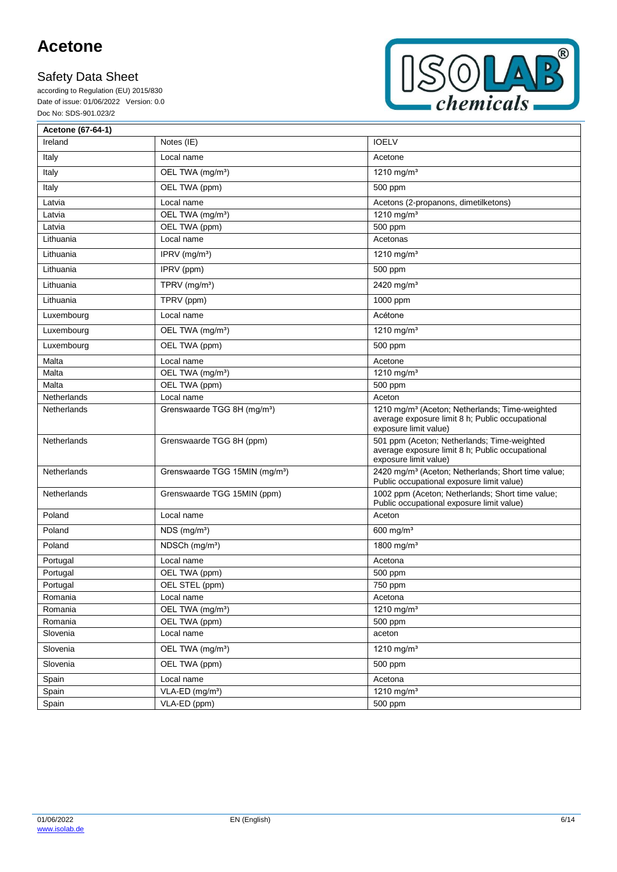according to Regulation (EU) 2015/830 Date of issue: 01/06/2022 Version: 0.0 Doc No: SDS-901.023/2



| Acetone (67-64-1) |                                            |                                                                                                                                        |
|-------------------|--------------------------------------------|----------------------------------------------------------------------------------------------------------------------------------------|
| Ireland           | Notes (IE)                                 | <b>IOELV</b>                                                                                                                           |
| Italy             | Local name                                 | Acetone                                                                                                                                |
| Italy             | OEL TWA (mg/m <sup>3</sup> )               | 1210 mg/m <sup>3</sup>                                                                                                                 |
| Italy             | OEL TWA (ppm)                              | 500 ppm                                                                                                                                |
| Latvia            | Local name                                 | Acetons (2-propanons, dimetilketons)                                                                                                   |
| Latvia            | OEL TWA (mg/m <sup>3</sup> )               | 1210 mg/m <sup>3</sup>                                                                                                                 |
| Latvia            | OEL TWA (ppm)                              | 500 ppm                                                                                                                                |
| Lithuania         | Local name                                 | Acetonas                                                                                                                               |
| Lithuania         | IPRV $(mg/m3)$                             | 1210 mg/m <sup>3</sup>                                                                                                                 |
| Lithuania         | IPRV (ppm)                                 | 500 ppm                                                                                                                                |
| Lithuania         | TPRV (mg/m <sup>3</sup> )                  | 2420 mg/m <sup>3</sup>                                                                                                                 |
| Lithuania         | TPRV (ppm)                                 | 1000 ppm                                                                                                                               |
| Luxembourg        | Local name                                 | Acétone                                                                                                                                |
| Luxembourg        | OEL TWA (mg/m <sup>3</sup> )               | 1210 mg/m <sup>3</sup>                                                                                                                 |
| Luxembourg        | OEL TWA (ppm)                              | 500 ppm                                                                                                                                |
| Malta             | Local name                                 | Acetone                                                                                                                                |
| Malta             | OEL TWA (mg/m <sup>3</sup> )               | 1210 mg/m <sup>3</sup>                                                                                                                 |
| Malta             | OEL TWA (ppm)                              | 500 ppm                                                                                                                                |
| Netherlands       | Local name                                 | Aceton                                                                                                                                 |
| Netherlands       | Grenswaarde TGG 8H (mg/m <sup>3</sup> )    | 1210 mg/m <sup>3</sup> (Aceton; Netherlands; Time-weighted<br>average exposure limit 8 h; Public occupational<br>exposure limit value) |
| Netherlands       | Grenswaarde TGG 8H (ppm)                   | 501 ppm (Aceton; Netherlands; Time-weighted<br>average exposure limit 8 h; Public occupational<br>exposure limit value)                |
| Netherlands       | Grenswaarde TGG 15MIN (mg/m <sup>3</sup> ) | 2420 mg/m <sup>3</sup> (Aceton; Netherlands; Short time value;<br>Public occupational exposure limit value)                            |
| Netherlands       | Grenswaarde TGG 15MIN (ppm)                | 1002 ppm (Aceton; Netherlands; Short time value;<br>Public occupational exposure limit value)                                          |
| Poland            | Local name                                 | Aceton                                                                                                                                 |
| Poland            | $NDS$ (mg/m <sup>3</sup> )                 | $600$ mg/m <sup>3</sup>                                                                                                                |
| Poland            | NDSCh (mg/m <sup>3</sup> )                 | 1800 mg/m <sup>3</sup>                                                                                                                 |
| Portugal          | Local name                                 | Acetona                                                                                                                                |
| Portugal          | OEL TWA (ppm)                              | 500 ppm                                                                                                                                |
| Portugal          | OEL STEL (ppm)                             | 750 ppm                                                                                                                                |
| Romania           | Local name                                 | Acetona                                                                                                                                |
| Romania           | OEL TWA (mg/m <sup>3</sup> )               | 1210 mg/m <sup>3</sup>                                                                                                                 |
| Romania           | OEL TWA (ppm)                              | 500 ppm                                                                                                                                |
| Slovenia          | Local name                                 | aceton                                                                                                                                 |
| Slovenia          | OEL TWA (mg/m <sup>3</sup> )               | 1210 mg/m <sup>3</sup>                                                                                                                 |
| Slovenia          | OEL TWA (ppm)                              | 500 ppm                                                                                                                                |
| Spain             | Local name                                 | Acetona                                                                                                                                |
| Spain             | VLA-ED (mg/m <sup>3</sup> )                | 1210 mg/m <sup>3</sup>                                                                                                                 |
| Spain             | VLA-ED (ppm)                               | 500 ppm                                                                                                                                |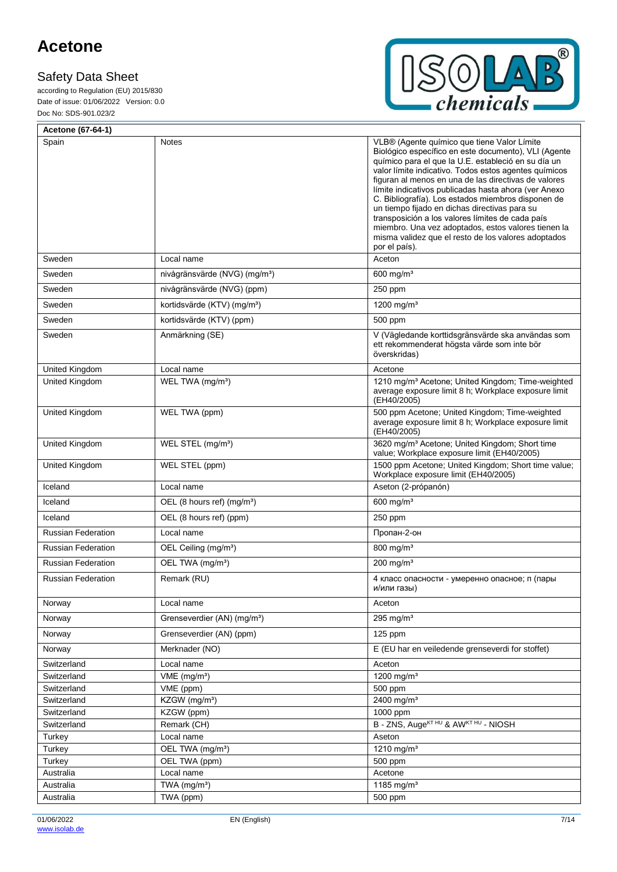F

according to Regulation (EU) 2015/830 Date of issue: 01/06/2022 Version: 0.0 Doc No: SDS-901.023/2



| Acetone (67-64-1)         |                                           |                                                                                                                                                                                                                                                                                                                                                                                                                                                                                                                                                                                                                               |
|---------------------------|-------------------------------------------|-------------------------------------------------------------------------------------------------------------------------------------------------------------------------------------------------------------------------------------------------------------------------------------------------------------------------------------------------------------------------------------------------------------------------------------------------------------------------------------------------------------------------------------------------------------------------------------------------------------------------------|
| Spain                     | <b>Notes</b>                              | VLB® (Agente químico que tiene Valor Límite<br>Biológico específico en este documento), VLI (Agente<br>químico para el que la U.E. estableció en su día un<br>valor límite indicativo. Todos estos agentes químicos<br>figuran al menos en una de las directivas de valores<br>límite indicativos publicadas hasta ahora (ver Anexo<br>C. Bibliografía). Los estados miembros disponen de<br>un tiempo fijado en dichas directivas para su<br>transposición a los valores límites de cada país<br>miembro. Una vez adoptados, estos valores tienen la<br>misma validez que el resto de los valores adoptados<br>por el país). |
| Sweden                    | Local name                                | Aceton                                                                                                                                                                                                                                                                                                                                                                                                                                                                                                                                                                                                                        |
| Sweden                    | nivågränsvärde (NVG) (mg/m <sup>3</sup> ) | 600 mg/m <sup>3</sup>                                                                                                                                                                                                                                                                                                                                                                                                                                                                                                                                                                                                         |
| Sweden                    | nivågränsvärde (NVG) (ppm)                | 250 ppm                                                                                                                                                                                                                                                                                                                                                                                                                                                                                                                                                                                                                       |
| Sweden                    | kortidsvärde (KTV) (mg/m <sup>3</sup> )   | 1200 mg/m <sup>3</sup>                                                                                                                                                                                                                                                                                                                                                                                                                                                                                                                                                                                                        |
| Sweden                    | kortidsvärde (KTV) (ppm)                  | 500 ppm                                                                                                                                                                                                                                                                                                                                                                                                                                                                                                                                                                                                                       |
| Sweden                    | Anmärkning (SE)                           | V (Vägledande korttidsgränsvärde ska användas som<br>ett rekommenderat högsta värde som inte bör<br>överskridas)                                                                                                                                                                                                                                                                                                                                                                                                                                                                                                              |
| United Kingdom            | Local name                                | Acetone                                                                                                                                                                                                                                                                                                                                                                                                                                                                                                                                                                                                                       |
| United Kingdom            | WEL TWA (mg/m <sup>3</sup> )              | 1210 mg/m <sup>3</sup> Acetone; United Kingdom; Time-weighted<br>average exposure limit 8 h; Workplace exposure limit<br>(EH40/2005)                                                                                                                                                                                                                                                                                                                                                                                                                                                                                          |
| United Kingdom            | WEL TWA (ppm)                             | 500 ppm Acetone; United Kingdom; Time-weighted<br>average exposure limit 8 h; Workplace exposure limit<br>(EH40/2005)                                                                                                                                                                                                                                                                                                                                                                                                                                                                                                         |
| United Kingdom            | WEL STEL (mg/m <sup>3</sup> )             | 3620 mg/m <sup>3</sup> Acetone; United Kingdom; Short time<br>value; Workplace exposure limit (EH40/2005)                                                                                                                                                                                                                                                                                                                                                                                                                                                                                                                     |
| United Kingdom            | WEL STEL (ppm)                            | 1500 ppm Acetone; United Kingdom; Short time value;<br>Workplace exposure limit (EH40/2005)                                                                                                                                                                                                                                                                                                                                                                                                                                                                                                                                   |
| Iceland                   | Local name                                | Aseton (2-própanón)                                                                                                                                                                                                                                                                                                                                                                                                                                                                                                                                                                                                           |
| Iceland                   | OEL (8 hours ref) (mg/m <sup>3</sup> )    | 600 mg/m <sup>3</sup>                                                                                                                                                                                                                                                                                                                                                                                                                                                                                                                                                                                                         |
| Iceland                   | OEL (8 hours ref) (ppm)                   | $250$ ppm                                                                                                                                                                                                                                                                                                                                                                                                                                                                                                                                                                                                                     |
| <b>Russian Federation</b> | Local name                                | Пропан-2-он                                                                                                                                                                                                                                                                                                                                                                                                                                                                                                                                                                                                                   |
| <b>Russian Federation</b> | OEL Ceiling (mg/m <sup>3</sup> )          | 800 mg/m <sup>3</sup>                                                                                                                                                                                                                                                                                                                                                                                                                                                                                                                                                                                                         |
| <b>Russian Federation</b> | OEL TWA (mg/m <sup>3</sup> )              | 200 mg/m <sup>3</sup>                                                                                                                                                                                                                                                                                                                                                                                                                                                                                                                                                                                                         |
| <b>Russian Federation</b> | Remark (RU)                               | 4 класс опасности - умеренно опасное; п (пары<br>и/или газы)                                                                                                                                                                                                                                                                                                                                                                                                                                                                                                                                                                  |
| Norway                    | Local name                                | Aceton                                                                                                                                                                                                                                                                                                                                                                                                                                                                                                                                                                                                                        |
| Norway                    | Grenseverdier (AN) (mg/m <sup>3</sup> )   | 295 mg/ $m3$                                                                                                                                                                                                                                                                                                                                                                                                                                                                                                                                                                                                                  |
| Norway                    | Grenseverdier (AN) (ppm)                  | 125 ppm                                                                                                                                                                                                                                                                                                                                                                                                                                                                                                                                                                                                                       |
| Norway                    | Merknader (NO)                            | E (EU har en veiledende grenseverdi for stoffet)                                                                                                                                                                                                                                                                                                                                                                                                                                                                                                                                                                              |
| Switzerland               | Local name                                | Aceton                                                                                                                                                                                                                                                                                                                                                                                                                                                                                                                                                                                                                        |
| Switzerland               | $VME$ (mg/m <sup>3</sup> )                | 1200 mg/m <sup>3</sup>                                                                                                                                                                                                                                                                                                                                                                                                                                                                                                                                                                                                        |
| Switzerland               | VME (ppm)                                 | 500 ppm                                                                                                                                                                                                                                                                                                                                                                                                                                                                                                                                                                                                                       |
| Switzerland               | KZGW (mg/m <sup>3</sup> )                 | 2400 mg/m <sup>3</sup>                                                                                                                                                                                                                                                                                                                                                                                                                                                                                                                                                                                                        |
| Switzerland               | KZGW (ppm)                                | 1000 ppm                                                                                                                                                                                                                                                                                                                                                                                                                                                                                                                                                                                                                      |
| Switzerland               | Remark (CH)                               | B - ZNS, Auge <sup>KT HU</sup> & AW <sup>KT HU</sup> - NIOSH                                                                                                                                                                                                                                                                                                                                                                                                                                                                                                                                                                  |
| Turkey                    | Local name                                | Aseton                                                                                                                                                                                                                                                                                                                                                                                                                                                                                                                                                                                                                        |
| Turkey                    | OEL TWA (mg/m <sup>3</sup> )              | 1210 mg/m <sup>3</sup>                                                                                                                                                                                                                                                                                                                                                                                                                                                                                                                                                                                                        |
| Turkey                    | OEL TWA (ppm)                             | 500 ppm                                                                                                                                                                                                                                                                                                                                                                                                                                                                                                                                                                                                                       |
| Australia                 | Local name                                | Acetone                                                                                                                                                                                                                                                                                                                                                                                                                                                                                                                                                                                                                       |
| Australia                 | TWA (mg/m <sup>3</sup> )                  | 1185 mg/m <sup>3</sup>                                                                                                                                                                                                                                                                                                                                                                                                                                                                                                                                                                                                        |
| Australia                 | TWA (ppm)                                 | 500 ppm                                                                                                                                                                                                                                                                                                                                                                                                                                                                                                                                                                                                                       |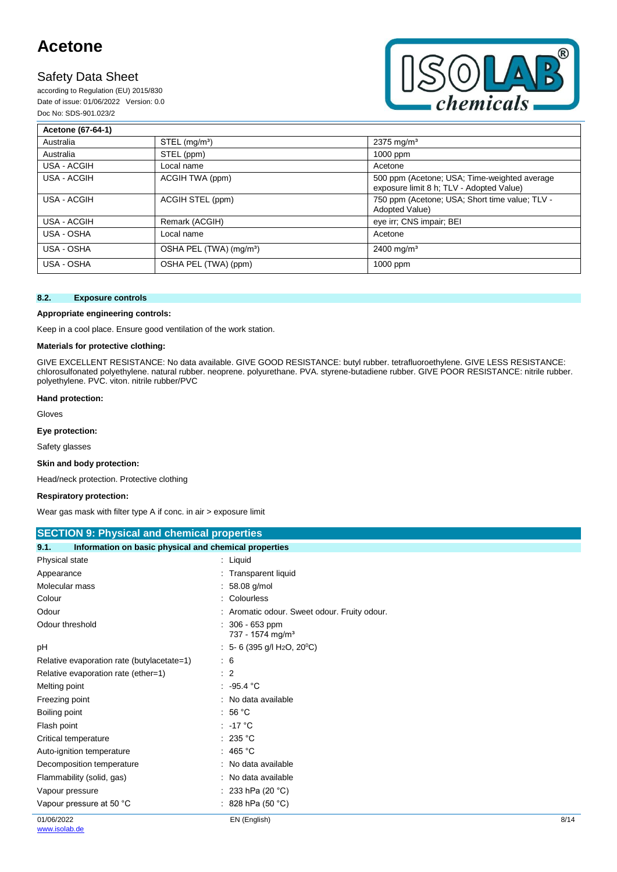### **Safety Data Sheet**

according to Regulation (EU) 2015/830 Date of issue: 01/06/2022 Version: 0.0 Doc No: SDS-901.023/2



| Acetone (67-64-1) |                                     |                                                                                          |
|-------------------|-------------------------------------|------------------------------------------------------------------------------------------|
| Australia         | $STEL$ (mg/m <sup>3</sup> )         | $2375 \,\mathrm{mq/m^3}$                                                                 |
| Australia         | STEL (ppm)                          | 1000 ppm                                                                                 |
| USA - ACGIH       | Local name                          | Acetone                                                                                  |
| USA - ACGIH       | ACGIH TWA (ppm)                     | 500 ppm (Acetone; USA; Time-weighted average<br>exposure limit 8 h; TLV - Adopted Value) |
| USA - ACGIH       | ACGIH STEL (ppm)                    | 750 ppm (Acetone; USA; Short time value; TLV -<br>Adopted Value)                         |
| USA - ACGIH       | Remark (ACGIH)                      | eye irr; CNS impair; BEI                                                                 |
| USA - OSHA        | Local name                          | Acetone                                                                                  |
| USA - OSHA        | OSHA PEL (TWA) (mg/m <sup>3</sup> ) | $2400$ mg/m <sup>3</sup>                                                                 |
| USA - OSHA        | OSHA PEL (TWA) (ppm)                | 1000 ppm                                                                                 |

#### **8.2. Exposure controls**

#### **Appropriate engineering controls:**

Keep in a cool place. Ensure good ventilation of the work station.

#### **Materials for protective clothing:**

GIVE EXCELLENT RESISTANCE: No data available. GIVE GOOD RESISTANCE: butyl rubber. tetrafluoroethylene. GIVE LESS RESISTANCE: chlorosulfonated polyethylene. natural rubber. neoprene. polyurethane. PVA. styrene-butadiene rubber. GIVE POOR RESISTANCE: nitrile rubber. polyethylene. PVC. viton. nitrile rubber/PVC

#### **Hand protection:**

Gloves

**Eye protection:**

Safety glasses

#### **Skin and body protection:**

Head/neck protection. Protective clothing

#### **Respiratory protection:**

Wear gas mask with filter type A if conc. in air > exposure limit

| <b>SECTION 9: Physical and chemical properties</b> |  |
|----------------------------------------------------|--|
|                                                    |  |

| 9.1.<br>Information on basic physical and chemical properties |                                                      |      |  |  |
|---------------------------------------------------------------|------------------------------------------------------|------|--|--|
| Physical state                                                | $:$ Liquid                                           |      |  |  |
| Appearance                                                    | : Transparent liquid                                 |      |  |  |
| Molecular mass                                                | $: 58.08$ g/mol                                      |      |  |  |
| Colour                                                        | : Colourless                                         |      |  |  |
| Odour                                                         | : Aromatic odour. Sweet odour. Fruity odour.         |      |  |  |
| Odour threshold                                               | 306 - 653 ppm<br>737 - 1574 mg/m <sup>3</sup>        |      |  |  |
| рH                                                            | : 5- 6 (395 g/l H <sub>2</sub> O, 20 <sup>°</sup> C) |      |  |  |
| Relative evaporation rate (butylacetate=1)                    | $\frac{1}{2}$ 6                                      |      |  |  |
| Relative evaporation rate (ether=1)                           | $\therefore$ 2                                       |      |  |  |
| Melting point                                                 | .95.4 °C                                             |      |  |  |
| Freezing point                                                | : No data available                                  |      |  |  |
| Boiling point                                                 | : 56 °C                                              |      |  |  |
| Flash point                                                   | $: -17^{\circ}$ C                                    |      |  |  |
| Critical temperature                                          | : 235 °C                                             |      |  |  |
| Auto-ignition temperature                                     | : 465 $^{\circ}$ C                                   |      |  |  |
| Decomposition temperature                                     | : No data available                                  |      |  |  |
| Flammability (solid, gas)                                     | : No data available                                  |      |  |  |
| Vapour pressure                                               | 233 hPa (20 °C)                                      |      |  |  |
| Vapour pressure at 50 °C                                      | : 828 hPa (50 $^{\circ}$ C)                          |      |  |  |
| 01/06/2022                                                    | EN (English)                                         | 8/14 |  |  |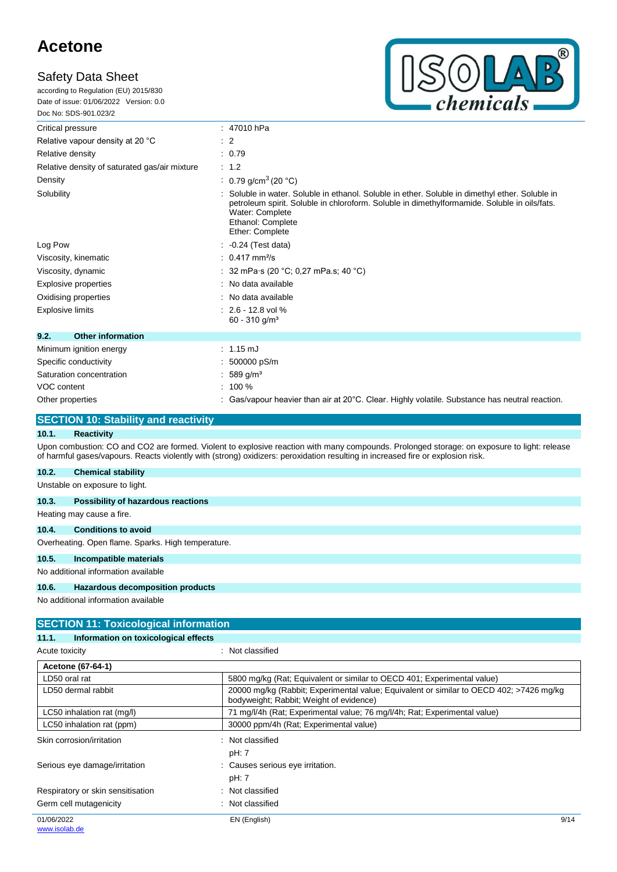according to Regulation (EU) 2015/830 Date of issue: 01/06/2022 Version: 0.0 Doc No: SDS-901.023/2



| DUC NO. SDS-901.023/2                         |                                                                                                                                                                                                                                                          |  |  |  |
|-----------------------------------------------|----------------------------------------------------------------------------------------------------------------------------------------------------------------------------------------------------------------------------------------------------------|--|--|--|
| Critical pressure                             | : 47010 hPa                                                                                                                                                                                                                                              |  |  |  |
| Relative vapour density at 20 °C              | $\therefore$ 2                                                                                                                                                                                                                                           |  |  |  |
| Relative density                              | : 0.79                                                                                                                                                                                                                                                   |  |  |  |
| Relative density of saturated gas/air mixture | $\therefore$ 1.2                                                                                                                                                                                                                                         |  |  |  |
| Density                                       | : 0.79 g/cm <sup>3</sup> (20 °C)                                                                                                                                                                                                                         |  |  |  |
| Solubility                                    | Soluble in water. Soluble in ethanol. Soluble in ether. Soluble in dimethyl ether. Soluble in<br>petroleum spirit. Soluble in chloroform. Soluble in dimethylformamide. Soluble in oils/fats.<br>Water: Complete<br>Ethanol: Complete<br>Ether: Complete |  |  |  |
| Log Pow                                       | $: -0.24$ (Test data)                                                                                                                                                                                                                                    |  |  |  |
| Viscosity, kinematic                          | $0.417$ mm <sup>2</sup> /s<br>÷                                                                                                                                                                                                                          |  |  |  |
| Viscosity, dynamic                            | 32 mPa·s (20 °C; 0,27 mPa.s; 40 °C)                                                                                                                                                                                                                      |  |  |  |
| Explosive properties                          | : No data available                                                                                                                                                                                                                                      |  |  |  |
| Oxidising properties                          | No data available                                                                                                                                                                                                                                        |  |  |  |
| <b>Explosive limits</b>                       | $: 2.6 - 12.8$ vol %<br>$60 - 310$ g/m <sup>3</sup>                                                                                                                                                                                                      |  |  |  |
| 9.2.<br><b>Other information</b>              |                                                                                                                                                                                                                                                          |  |  |  |
| Minimum ignition energy                       | $: 1.15 \text{ mJ}$                                                                                                                                                                                                                                      |  |  |  |
| Specific conductivity                         | 500000 pS/m                                                                                                                                                                                                                                              |  |  |  |
| Saturation concentration                      | 589 g/m <sup>3</sup>                                                                                                                                                                                                                                     |  |  |  |
| VOC content                                   | $: 100 \%$                                                                                                                                                                                                                                               |  |  |  |
| Other properties                              | Gas/vapour heavier than air at 20°C. Clear. Highly volatile. Substance has neutral reaction.                                                                                                                                                             |  |  |  |
|                                               |                                                                                                                                                                                                                                                          |  |  |  |

### **SECTION 10: Stability and reactivity**

#### **10.1. Reactivity**

Upon combustion: CO and CO2 are formed. Violent to explosive reaction with many compounds. Prolonged storage: on exposure to light: release of harmful gases/vapours. Reacts violently with (strong) oxidizers: peroxidation resulting in increased fire or explosion risk.

### **10.2. Chemical stability**

| .     | $\sim$                                             |  |  |  |  |  |
|-------|----------------------------------------------------|--|--|--|--|--|
|       | Unstable on exposure to light.                     |  |  |  |  |  |
| 10.3. | Possibility of hazardous reactions                 |  |  |  |  |  |
|       | Heating may cause a fire.                          |  |  |  |  |  |
| 10.4. | <b>Conditions to avoid</b>                         |  |  |  |  |  |
|       | Overheating. Open flame. Sparks. High temperature. |  |  |  |  |  |
| 10.5. | Incompatible materials                             |  |  |  |  |  |
|       | No additional information available                |  |  |  |  |  |
| 10.6. | Hazardous decomposition products                   |  |  |  |  |  |

| <b>SECTION 11: Toxicological information</b>                                                                                                             |                                                                           |      |  |  |
|----------------------------------------------------------------------------------------------------------------------------------------------------------|---------------------------------------------------------------------------|------|--|--|
| Information on toxicological effects<br>11.1.                                                                                                            |                                                                           |      |  |  |
| Acute toxicity                                                                                                                                           | : Not classified                                                          |      |  |  |
| Acetone (67-64-1)                                                                                                                                        |                                                                           |      |  |  |
| LD50 oral rat                                                                                                                                            | 5800 mg/kg (Rat; Equivalent or similar to OECD 401; Experimental value)   |      |  |  |
| 20000 mg/kg (Rabbit; Experimental value; Equivalent or similar to OECD 402; >7426 mg/kg<br>LD50 dermal rabbit<br>bodyweight; Rabbit; Weight of evidence) |                                                                           |      |  |  |
| LC50 inhalation rat (mg/l)                                                                                                                               | 71 mg/l/4h (Rat; Experimental value; 76 mg/l/4h; Rat; Experimental value) |      |  |  |
| LC50 inhalation rat (ppm)                                                                                                                                | 30000 ppm/4h (Rat: Experimental value)                                    |      |  |  |
| Skin corrosion/irritation                                                                                                                                | : Not classified<br>pH: 7                                                 |      |  |  |
| Serious eye damage/irritation                                                                                                                            | Causes serious eye irritation.<br>pH: 7                                   |      |  |  |
| Respiratory or skin sensitisation                                                                                                                        | : Not classified                                                          |      |  |  |
| Germ cell mutagenicity                                                                                                                                   | : Not classified                                                          |      |  |  |
| 01/06/2022                                                                                                                                               | EN (English)                                                              | 9/14 |  |  |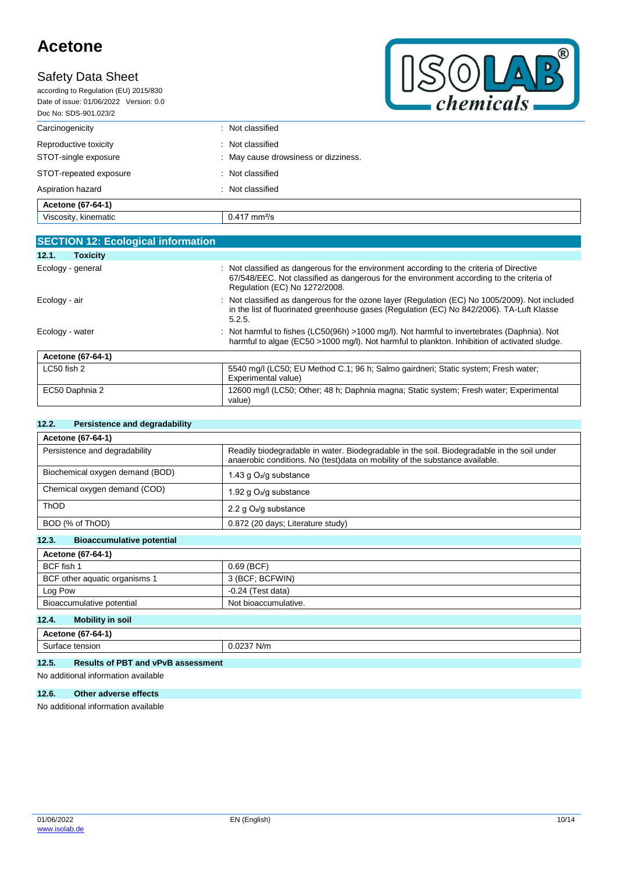## **Safety Data Sheet**

according to Regulation (EU) 2015/830 Date of issue: 01/06/2022 Version: 0.0 Doc No: SDS-901.023/2



| : Not classified                     |  |
|--------------------------------------|--|
| : Not classified                     |  |
| : May cause drowsiness or dizziness. |  |
| : Not classified                     |  |
| Not classified<br>÷                  |  |
|                                      |  |
| $0.417$ mm <sup>2</sup> /s           |  |
|                                      |  |

| <b>SECTION 12: Ecological information</b> |                                                                                                                                                                                                                     |
|-------------------------------------------|---------------------------------------------------------------------------------------------------------------------------------------------------------------------------------------------------------------------|
| 12.1.<br><b>Toxicity</b>                  |                                                                                                                                                                                                                     |
| Ecology - general                         | Not classified as dangerous for the environment according to the criteria of Directive<br>67/548/EEC. Not classified as dangerous for the environment according to the criteria of<br>Regulation (EC) No 1272/2008. |
| Ecology - air                             | Not classified as dangerous for the ozone layer (Regulation (EC) No 1005/2009). Not included<br>in the list of fluorinated greenhouse gases (Regulation (EC) No 842/2006). TA-Luft Klasse<br>5.2.5.                 |
| Ecology - water                           | Not harmful to fishes (LC50(96h) >1000 mg/l). Not harmful to invertebrates (Daphnia). Not<br>harmful to algae (EC50 >1000 mg/l). Not harmful to plankton. Inhibition of activated sludge.                           |
| Acetone (67-64-1)                         |                                                                                                                                                                                                                     |
| LC50 fish 2                               | 5540 mg/l (LC50; EU Method C.1; 96 h; Salmo gairdneri; Static system; Fresh water;<br>Experimental value)                                                                                                           |
| EC50 Daphnia 2                            | 12600 mg/l (LC50; Other; 48 h; Daphnia magna; Static system; Fresh water; Experimental<br>value)                                                                                                                    |

#### **12.2. Persistence and degradability**

| Acetone (67-64-1)                                                                                                                                                                                          |                                   |  |  |  |
|------------------------------------------------------------------------------------------------------------------------------------------------------------------------------------------------------------|-----------------------------------|--|--|--|
| Persistence and degradability<br>Readily biodegradable in water. Biodegradable in the soil. Biodegradable in the soil under<br>anaerobic conditions. No (test)data on mobility of the substance available. |                                   |  |  |  |
| Biochemical oxygen demand (BOD)<br>1.43 g $O_2$ /g substance                                                                                                                                               |                                   |  |  |  |
| Chemical oxygen demand (COD)                                                                                                                                                                               | 1.92 g $O_2$ /g substance         |  |  |  |
| <b>ThOD</b>                                                                                                                                                                                                | 2.2 g $O_2$ /g substance          |  |  |  |
| BOD (% of ThOD)                                                                                                                                                                                            | 0.872 (20 days; Literature study) |  |  |  |

#### **12.3. Bioaccumulative potential**

| <b>Acetone (67-64-1)</b>            |                      |  |  |  |
|-------------------------------------|----------------------|--|--|--|
| BCF fish 1                          | $0.69$ (BCF)         |  |  |  |
| BCF other aquatic organisms 1       | 3 (BCF; BCFWIN)      |  |  |  |
| Log Pow                             | $-0.24$ (Test data)  |  |  |  |
| Bioaccumulative potential           | Not bioaccumulative. |  |  |  |
| 12 <sub>A</sub><br>Mobility in eail |                      |  |  |  |

#### **12.4. Mobility in soil**

| $10-$<br>. .<br>/-64-<br>tone<br>10.                   |                                     |  |
|--------------------------------------------------------|-------------------------------------|--|
| tension<br>---<br>surt.<br>$-10$<br>iaut<br>. נכה<br>. | $\sim$ $\sim$ $\sim$<br>N/m<br>.uz. |  |

#### **12.5. Results of PBT and vPvB assessment**

No additional information available

#### **12.6. Other adverse effects**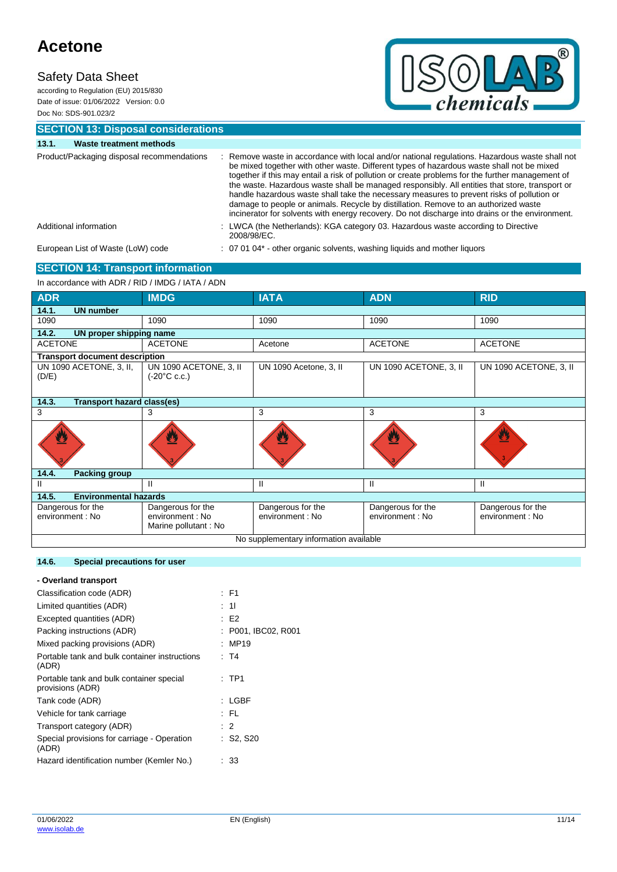## **Safety Data Sheet**

according to Regulation (EU) 2015/830 Date of issue: 01/06/2022 Version: 0.0 Doc No: SDS-901.023/2



**SECTION 13: Disposal considerations**

| 13.1. | Waste treatment methods                    |                                                                                                                                                                                                                                                                                                                                                                                                                                                                                                                                                                                                                                                                                        |
|-------|--------------------------------------------|----------------------------------------------------------------------------------------------------------------------------------------------------------------------------------------------------------------------------------------------------------------------------------------------------------------------------------------------------------------------------------------------------------------------------------------------------------------------------------------------------------------------------------------------------------------------------------------------------------------------------------------------------------------------------------------|
|       | Product/Packaging disposal recommendations | Remove waste in accordance with local and/or national regulations. Hazardous waste shall not<br>be mixed together with other waste. Different types of hazardous waste shall not be mixed<br>together if this may entail a risk of pollution or create problems for the further management of<br>the waste. Hazardous waste shall be managed responsibly. All entities that store, transport or<br>handle hazardous waste shall take the necessary measures to prevent risks of pollution or<br>damage to people or animals. Recycle by distillation. Remove to an authorized waste<br>incinerator for solvents with energy recovery. Do not discharge into drains or the environment. |
|       | Additional information                     | : LWCA (the Netherlands): KGA category 03. Hazardous waste according to Directive<br>2008/98/EC.                                                                                                                                                                                                                                                                                                                                                                                                                                                                                                                                                                                       |
|       | European List of Waste (LoW) code          | : 07 01 04* - other organic solvents, washing liquids and mother liquors                                                                                                                                                                                                                                                                                                                                                                                                                                                                                                                                                                                                               |
|       | <b>SECTION 14: Transport information</b>   |                                                                                                                                                                                                                                                                                                                                                                                                                                                                                                                                                                                                                                                                                        |

In accordance with ADR / RID / IMDG / IATA / ADN

| <b>ADR</b>                                 | <b>IMDG</b>                                      | <b>IATA</b>            | <b>ADN</b>             | <b>RID</b>             |  |  |  |  |  |
|--------------------------------------------|--------------------------------------------------|------------------------|------------------------|------------------------|--|--|--|--|--|
| 14.1.<br><b>UN number</b>                  |                                                  |                        |                        |                        |  |  |  |  |  |
| 1090                                       | 1090                                             | 1090                   | 1090                   | 1090                   |  |  |  |  |  |
| 14.2.<br>UN proper shipping name           |                                                  |                        |                        |                        |  |  |  |  |  |
| <b>ACETONE</b>                             | <b>ACETONE</b>                                   | Acetone                | <b>ACETONE</b>         | <b>ACETONE</b>         |  |  |  |  |  |
| <b>Transport document description</b>      |                                                  |                        |                        |                        |  |  |  |  |  |
| UN 1090 ACETONE, 3, II,<br>(D/E)           | UN 1090 ACETONE, 3, II<br>$(-20^{\circ}C \c.c.)$ | UN 1090 Acetone, 3, II | UN 1090 ACETONE, 3, II | UN 1090 ACETONE, 3, II |  |  |  |  |  |
| 14.3.<br><b>Transport hazard class(es)</b> |                                                  |                        |                        |                        |  |  |  |  |  |
| 3                                          | 3                                                | 3                      | 3                      | 3                      |  |  |  |  |  |
|                                            |                                                  | نظ                     |                        | W                      |  |  |  |  |  |
| 14.4.<br>Packing group                     |                                                  |                        |                        |                        |  |  |  |  |  |
| Ш                                          | Ш                                                | Ш                      | Ш                      | Ш                      |  |  |  |  |  |
| 14.5.<br><b>Environmental hazards</b>      |                                                  |                        |                        |                        |  |  |  |  |  |
| Dangerous for the                          | Dangerous for the                                | Dangerous for the      | Dangerous for the      | Dangerous for the      |  |  |  |  |  |
| environment : No                           | environment : No<br>Marine pollutant: No         | environment : No       | environment : No       | environment : No       |  |  |  |  |  |
| No supplementary information available     |                                                  |                        |                        |                        |  |  |  |  |  |

### **14.6. Special precautions for user**

| $E = F1$       |                     |
|----------------|---------------------|
| : 11           |                     |
| E2             |                     |
|                | : P001, IBC02, R001 |
| MP19           |                     |
| : T4           |                     |
| $:$ TP1        |                     |
| : LGBF         |                     |
| : FL           |                     |
| $\therefore$ 2 |                     |
| : S2, S20      |                     |
| 33             |                     |
|                |                     |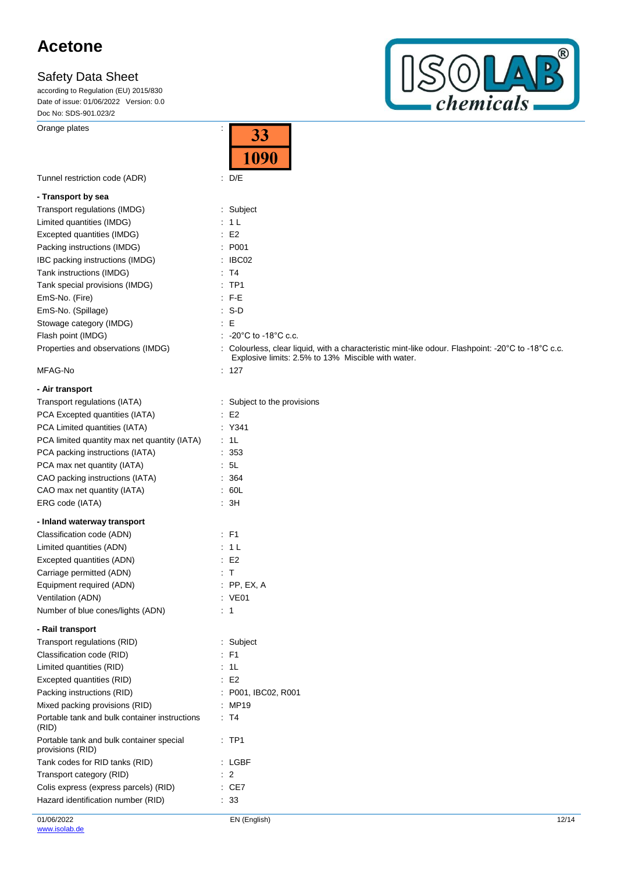according to Regulation (EU) 2015/830 Date of issue: 01/06/2022 Version: 0.0 Doc No: SDS-901.023/2

Orange plates in the contract of the contract of the contract of the contract of the contract of the contract of the contract of the contract of the contract of the contract of the contract of the contract of the contract



|                                                              | 33<br>1090                                                                                                                                               |
|--------------------------------------------------------------|----------------------------------------------------------------------------------------------------------------------------------------------------------|
| Tunnel restriction code (ADR)                                | $\therefore$ D/E                                                                                                                                         |
| - Transport by sea                                           |                                                                                                                                                          |
| Transport regulations (IMDG)                                 | : Subject                                                                                                                                                |
| Limited quantities (IMDG)                                    | : 1 L                                                                                                                                                    |
| Excepted quantities (IMDG)                                   | : E2                                                                                                                                                     |
| Packing instructions (IMDG)                                  | : P001                                                                                                                                                   |
| IBC packing instructions (IMDG)                              | $\therefore$ IBC02                                                                                                                                       |
| Tank instructions (IMDG)                                     | : T4                                                                                                                                                     |
| Tank special provisions (IMDG)                               | $:$ TP1                                                                                                                                                  |
| EmS-No. (Fire)                                               | : F-E                                                                                                                                                    |
| EmS-No. (Spillage)                                           | $: S-D$                                                                                                                                                  |
| Stowage category (IMDG)                                      | E                                                                                                                                                        |
| Flash point (IMDG)                                           | : $-20^{\circ}$ C to -18 $^{\circ}$ C c.c.                                                                                                               |
| Properties and observations (IMDG)                           | : Colourless, clear liquid, with a characteristic mint-like odour. Flashpoint: -20°C to -18°C c.c.<br>Explosive limits: 2.5% to 13% Miscible with water. |
| MFAG-No                                                      | : 127                                                                                                                                                    |
| - Air transport                                              |                                                                                                                                                          |
| Transport regulations (IATA)                                 | : Subject to the provisions                                                                                                                              |
| PCA Excepted quantities (IATA)                               | E2                                                                                                                                                       |
| PCA Limited quantities (IATA)                                | : Y341                                                                                                                                                   |
| PCA limited quantity max net quantity (IATA)                 | : 1L                                                                                                                                                     |
| PCA packing instructions (IATA)                              | : 353                                                                                                                                                    |
| PCA max net quantity (IATA)                                  | 5L                                                                                                                                                       |
| CAO packing instructions (IATA)                              | : 364                                                                                                                                                    |
| CAO max net quantity (IATA)                                  | : 60L                                                                                                                                                    |
| ERG code (IATA)                                              | : 3H                                                                                                                                                     |
| - Inland waterway transport                                  |                                                                                                                                                          |
| Classification code (ADN)                                    | : F1                                                                                                                                                     |
| Limited quantities (ADN)                                     | : 1 L                                                                                                                                                    |
| Excepted quantities (ADN)                                    | E2                                                                                                                                                       |
| Carriage permitted (ADN)                                     | : T                                                                                                                                                      |
| Equipment required (ADN)                                     | $:$ PP, EX, A                                                                                                                                            |
| Ventilation (ADN)                                            | : VE01                                                                                                                                                   |
| Number of blue cones/lights (ADN)                            | : 1                                                                                                                                                      |
| - Rail transport                                             |                                                                                                                                                          |
| Transport regulations (RID)                                  | : Subject                                                                                                                                                |
| Classification code (RID)                                    | F <sub>1</sub>                                                                                                                                           |
| Limited quantities (RID)                                     | 1L                                                                                                                                                       |
| Excepted quantities (RID)                                    | E2                                                                                                                                                       |
| Packing instructions (RID)                                   | : P001, IBC02, R001                                                                                                                                      |
| Mixed packing provisions (RID)                               | : MP19                                                                                                                                                   |
| Portable tank and bulk container instructions<br>(RID)       | : T4                                                                                                                                                     |
| Portable tank and bulk container special<br>provisions (RID) | $:$ TP1                                                                                                                                                  |
| Tank codes for RID tanks (RID)                               | : LGBF                                                                                                                                                   |
| Transport category (RID)                                     | $\therefore$ 2                                                                                                                                           |
| Colis express (express parcels) (RID)                        | $\therefore$ CE7                                                                                                                                         |
| Hazard identification number (RID)                           | : 33                                                                                                                                                     |

 $\overline{\phantom{a}}$ 

T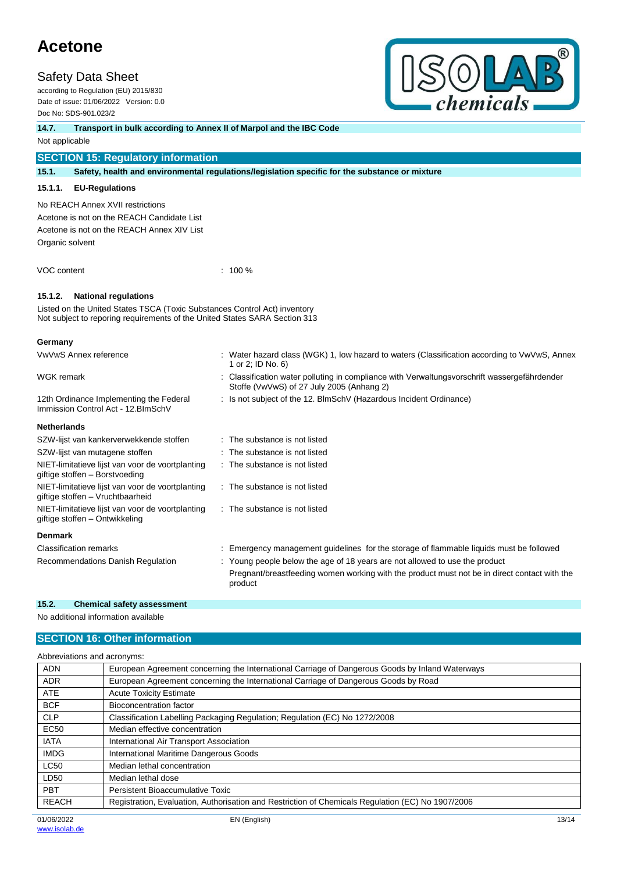### **Safety Data Sheet**

according to Regulation (EU) 2015/830 Date of issue: 01/06/2022 Version: 0.0 Doc No: SDS-901.023/2



#### **14.7. Transport in bulk according to Annex II of Marpol and the IBC Code**

Not applicable

### **SECTION 15: Regulatory information**

**15.1. Safety, health and environmental regulations/legislation specific for the substance or mixture**

#### **15.1.1. EU-Regulations**

No REACH Annex XVII restrictions

Acetone is not on the REACH Candidate List Acetone is not on the REACH Annex XIV List Organic solvent

VOC content : 100 %

#### **15.1.2. National regulations**

Listed on the United States TSCA (Toxic Substances Control Act) inventory Not subject to reporing requirements of the United States SARA Section 313

#### **Germany**

| VwVwS Annex reference                                                                | : Water hazard class (WGK) 1, low hazard to waters (Classification according to VwVwS, Annex<br>1 or 2; ID No. 6)                                                                      |
|--------------------------------------------------------------------------------------|----------------------------------------------------------------------------------------------------------------------------------------------------------------------------------------|
| WGK remark                                                                           | Classification water polluting in compliance with Verwaltungsvorschrift wassergefährdender<br>Stoffe (VwVwS) of 27 July 2005 (Anhang 2)                                                |
| 12th Ordinance Implementing the Federal<br>Immission Control Act - 12. BlmSchV       | : Is not subject of the 12. BlmSchV (Hazardous Incident Ordinance)                                                                                                                     |
| <b>Netherlands</b>                                                                   |                                                                                                                                                                                        |
| SZW-lijst van kankerverwekkende stoffen                                              | : The substance is not listed                                                                                                                                                          |
| SZW-lijst van mutagene stoffen                                                       | : The substance is not listed                                                                                                                                                          |
| NIET-limitatieve lijst van voor de voortplanting<br>giftige stoffen - Borstvoeding   | : The substance is not listed                                                                                                                                                          |
| NIET-limitatieve lijst van voor de voortplanting<br>giftige stoffen - Vruchtbaarheid | : The substance is not listed                                                                                                                                                          |
| NIET-limitatieve lijst van voor de voortplanting<br>giftige stoffen – Ontwikkeling   | : The substance is not listed                                                                                                                                                          |
| <b>Denmark</b>                                                                       |                                                                                                                                                                                        |
| <b>Classification remarks</b>                                                        | Emergency management guidelines for the storage of flammable liquids must be followed                                                                                                  |
| Recommendations Danish Regulation                                                    | : Young people below the age of 18 years are not allowed to use the product<br>Pregnant/breastfeeding women working with the product must not be in direct contact with the<br>product |

#### **15.2. Chemical safety assessment**

No additional information available

### **SECTION 16: Other information**

|              | Abbreviations and acronyms:                                                                       |  |  |  |  |  |
|--------------|---------------------------------------------------------------------------------------------------|--|--|--|--|--|
| <b>ADN</b>   | European Agreement concerning the International Carriage of Dangerous Goods by Inland Waterways   |  |  |  |  |  |
| <b>ADR</b>   | European Agreement concerning the International Carriage of Dangerous Goods by Road               |  |  |  |  |  |
| <b>ATE</b>   | <b>Acute Toxicity Estimate</b>                                                                    |  |  |  |  |  |
| <b>BCF</b>   | Bioconcentration factor                                                                           |  |  |  |  |  |
| <b>CLP</b>   | Classification Labelling Packaging Regulation; Regulation (EC) No 1272/2008                       |  |  |  |  |  |
| <b>EC50</b>  | Median effective concentration                                                                    |  |  |  |  |  |
| <b>IATA</b>  | International Air Transport Association                                                           |  |  |  |  |  |
| <b>IMDG</b>  | International Maritime Dangerous Goods                                                            |  |  |  |  |  |
| <b>LC50</b>  | Median lethal concentration                                                                       |  |  |  |  |  |
| LD50         | Median lethal dose                                                                                |  |  |  |  |  |
| <b>PBT</b>   | Persistent Bioaccumulative Toxic                                                                  |  |  |  |  |  |
| <b>REACH</b> | Registration, Evaluation, Authorisation and Restriction of Chemicals Regulation (EC) No 1907/2006 |  |  |  |  |  |
|              |                                                                                                   |  |  |  |  |  |